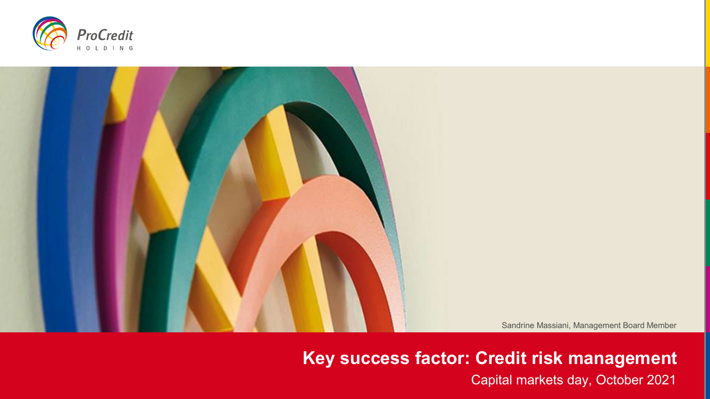



**Key success factor: Credit risk management** Capital markets day, October 2021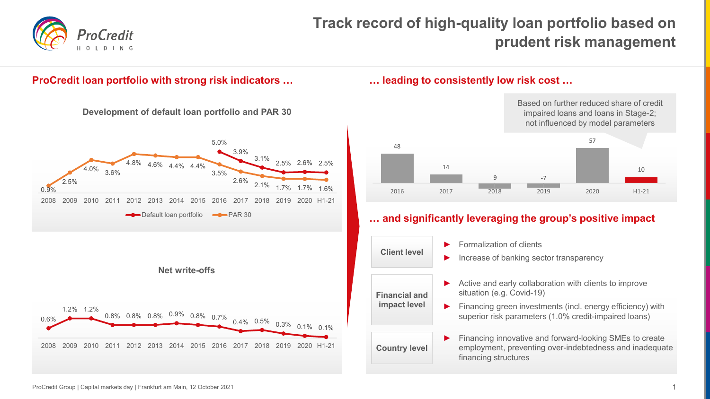

# **Track record of high-quality loan portfolio based on prudent risk management**

# **ProCredit loan portfolio with strong risk indicators …**



### **… leading to consistently low risk cost …**

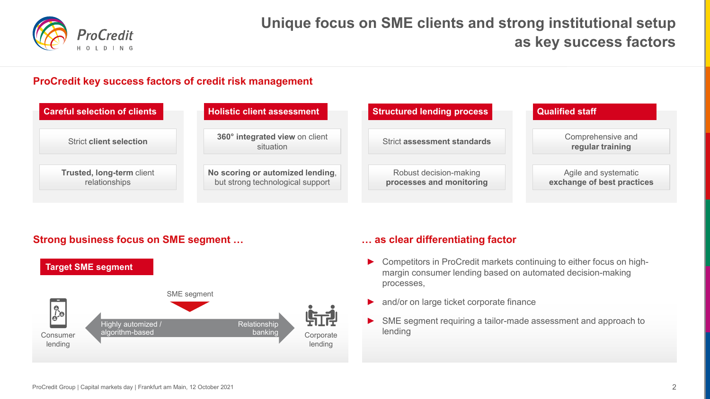

# **Unique focus on SME clients and strong institutional setup as key success factors**

# **ProCredit key success factors of credit risk management**

| <b>Careful selection of clients</b>        | Holistic client assessment                                           | <b>Structured lending process</b>                  | <b>Qualified staff</b>                             |
|--------------------------------------------|----------------------------------------------------------------------|----------------------------------------------------|----------------------------------------------------|
| <b>Strict client selection</b>             | 360° integrated view on client<br>situation                          | <b>Strict assessment standards</b>                 | Comprehensive and<br>regular training              |
| Trusted, long-term client<br>relationships | No scoring or automized lending,<br>but strong technological support | Robust decision-making<br>processes and monitoring | Agile and systematic<br>exchange of best practices |

# **Strong business focus on SME segment …**



# **… as clear differentiating factor**

- ► Competitors in ProCredit markets continuing to either focus on highmargin consumer lending based on automated decision-making processes,
- ► and/or on large ticket corporate finance
- ► SME segment requiring a tailor-made assessment and approach to lending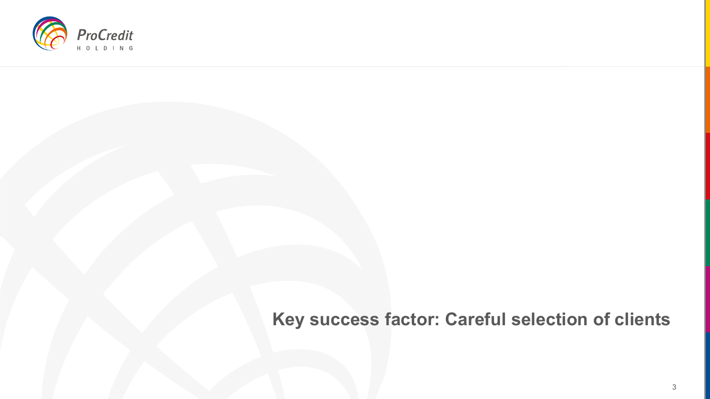

# **Key success factor: Careful selection of clients**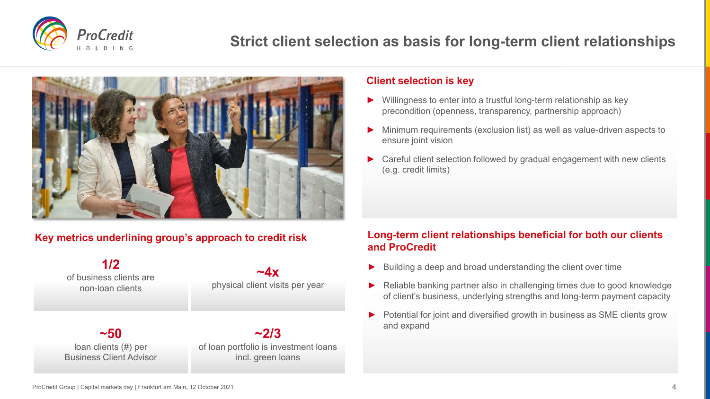

# **Strict client selection as basis for long-term client relationships**



# **Key metrics underlining group's approach to credit risk**



### **Client selection is key**

- Willingness to enter into a trustful long-term relationship as key precondition (openness, transparency, partnership approach)
- Minimum requirements (exclusion list) as well as value-driven aspects to ensure joint vision
- Careful client selection followed by gradual engagement with new clients (e.g. credit limits)

# **Long-term client relationships beneficial for both our clients and ProCredit**

- Building a deep and broad understanding the client over time
- ► Reliable banking partner also in challenging times due to good knowledge of client's business, underlying strengths and long-term payment capacity
- Potential for joint and diversified growth in business as SME clients grow and expand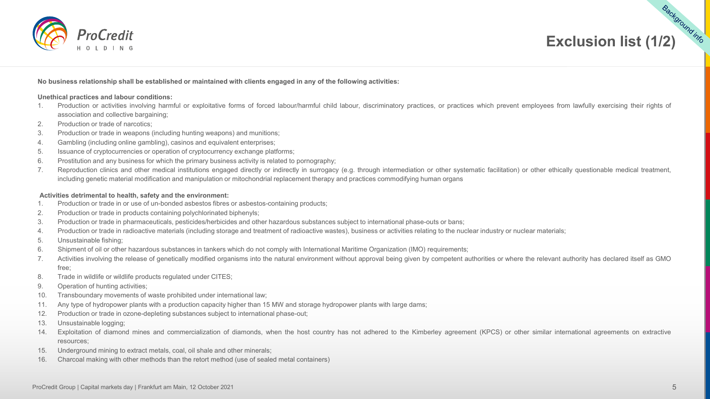



#### **No business relationship shall be established or maintained with clients engaged in any of the following activities:**

#### **Unethical practices and labour conditions:**

- 1. Production or activities involving harmful or exploitative forms of forced labour/harmful child labour, discriminatory practices, or practices which prevent employees from lawfully exercising their rights of association and collective bargaining;
- 2. Production or trade of narcotics;
- 3. Production or trade in weapons (including hunting weapons) and munitions;
- 4. Gambling (including online gambling), casinos and equivalent enterprises;
- 5. Issuance of cryptocurrencies or operation of cryptocurrency exchange platforms;
- 6. Prostitution and any business for which the primary business activity is related to pornography;
- 7. Reproduction clinics and other medical institutions engaged directly or indirectly in surrogacy (e.g. through intermediation or other systematic facilitation) or other ethically questionable medical treatment, including genetic material modification and manipulation or mitochondrial replacement therapy and practices commodifying human organs

#### **Activities detrimental to health, safety and the environment:**

- 1. Production or trade in or use of un-bonded asbestos fibres or asbestos-containing products;
- 2. Production or trade in products containing polychlorinated biphenyls;
- 3. Production or trade in pharmaceuticals, pesticides/herbicides and other hazardous substances subject to international phase-outs or bans;
- 4. Production or trade in radioactive materials (including storage and treatment of radioactive wastes), business or activities relating to the nuclear industry or nuclear materials;
- 5. Unsustainable fishing;
- 6. Shipment of oil or other hazardous substances in tankers which do not comply with International Maritime Organization (IMO) requirements;
- 7. Activities involving the release of genetically modified organisms into the natural environment without approval being given by competent authorities or where the relevant authority has declared itself as GMO free;
- 8. Trade in wildlife or wildlife products regulated under CITES;
- 9. Operation of hunting activities;
- 10. Transboundary movements of waste prohibited under international law;
- 11. Any type of hydropower plants with a production capacity higher than 15 MW and storage hydropower plants with large dams;
- 12. Production or trade in ozone-depleting substances subject to international phase-out;
- 13. Unsustainable logging;
- 14. Exploitation of diamond mines and commercialization of diamonds, when the host country has not adhered to the Kimberley agreement (KPCS) or other similar international agreements on extractive resources;
- 15. Underground mining to extract metals, coal, oil shale and other minerals;
- 16. Charcoal making with other methods than the retort method (use of sealed metal containers)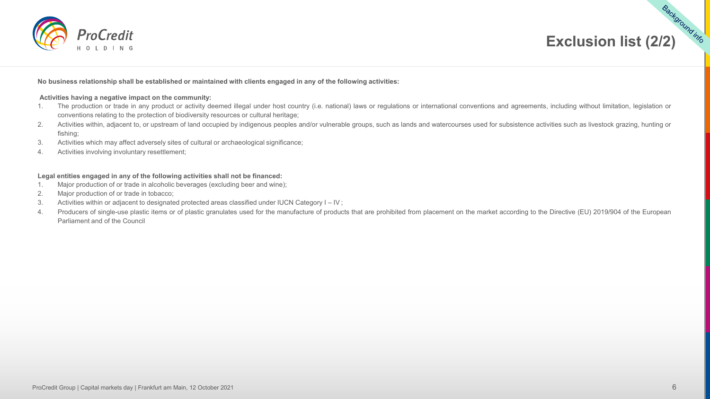



#### **No business relationship shall be established or maintained with clients engaged in any of the following activities:**

#### **Activities having a negative impact on the community:**

- 1. The production or trade in any product or activity deemed illegal under host country (i.e. national) laws or regulations or international conventions and agreements, including without limitation, legislation or conventions relating to the protection of biodiversity resources or cultural heritage;
- 2. Activities within, adjacent to, or upstream of land occupied by indigenous peoples and/or vulnerable groups, such as lands and watercourses used for subsistence activities such as livestock grazing, hunting or fishing;
- 3. Activities which may affect adversely sites of cultural or archaeological significance;
- 4. Activities involving involuntary resettlement;

#### **Legal entities engaged in any of the following activities shall not be financed:**

- 1. Major production of or trade in alcoholic beverages (excluding beer and wine);
- 2. Major production of or trade in tobacco;
- 3. Activities within or adjacent to designated protected areas classified under IUCN Category I IV ;
- 4. Producers of single-use plastic items or of plastic granulates used for the manufacture of products that are prohibited from placement on the market according to the Directive (EU) 2019/904 of the European Parliament and of the Council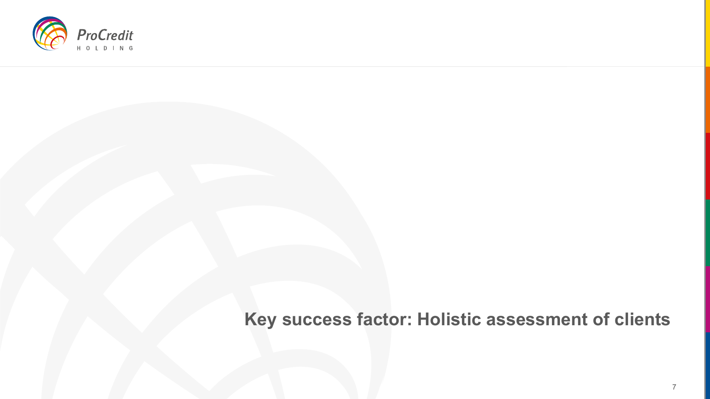

# **Key success factor: Holistic assessment of clients**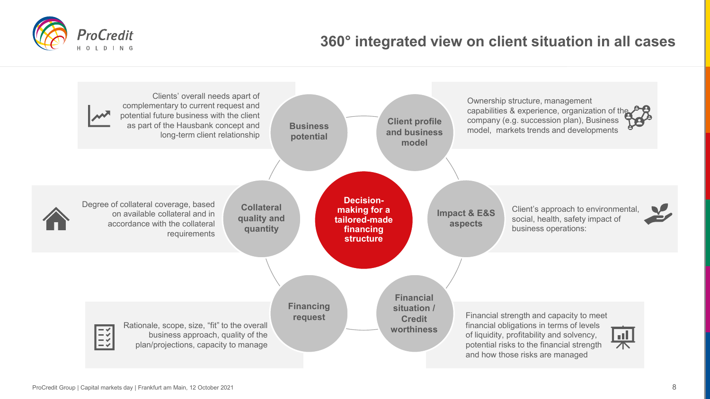# **360° integrated view on client situation in all cases**



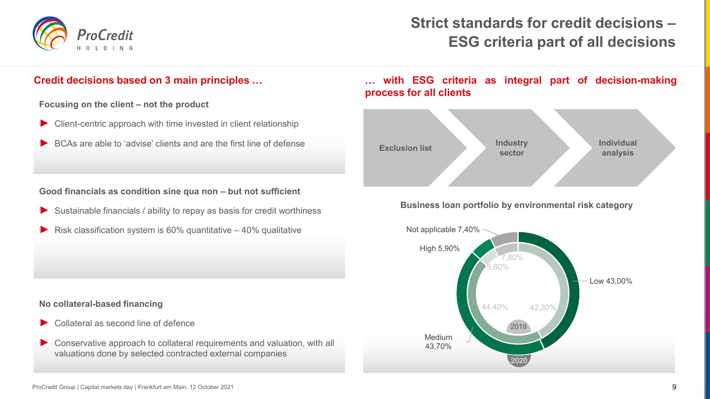

# **Strict standards for credit decisions – ESG criteria part of all decisions**

**Focusing on the client – not the product**

- ► Client-centric approach with time invested in client relationship
- BCAs are able to 'advise' clients and are the first line of defense

### **Good financials as condition sine qua non – but not sufficient**

- Sustainable financials / ability to repay as basis for credit worthiness
- Risk classification system is  $60\%$  quantitative  $40\%$  qualitative

### **No collateral-based financing**

- Collateral as second line of defence
- ► Conservative approach to collateral requirements and valuation, with all valuations done by selected contracted external companies

# **Credit decisions based on 3 main principles … … with ESG criteria as integral part of decision-making process for all clients**



### **Business loan portfolio by environmental risk category**

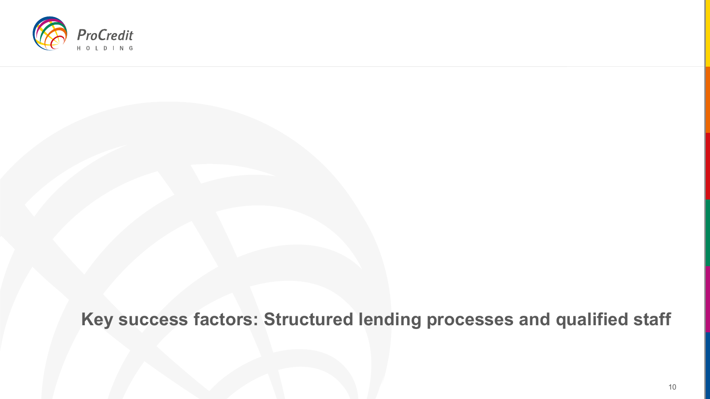

**Key success factors: Structured lending processes and qualified staff**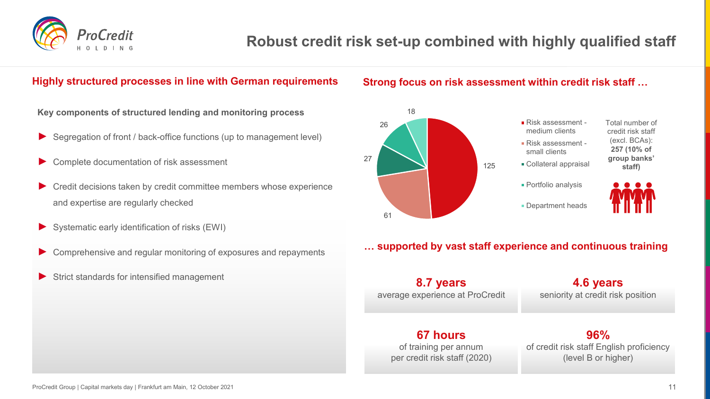

# **Robust credit risk set-up combined with highly qualified staff**

# **Highly structured processes in line with German requirements**

# **Strong focus on risk assessment within credit risk staff …**



## **… supported by vast staff experience and continuous training**

**8.7 years** average experience at ProCredit

**4.6 years** seniority at credit risk position

# **67 hours**

of training per annum per credit risk staff (2020)

**96%** of credit risk staff English proficiency (level B or higher)

### **Key components of structured lending and monitoring process**

- Segregation of front / back-office functions (up to management level)
- Complete documentation of risk assessment
- Credit decisions taken by credit committee members whose experience and expertise are regularly checked
- ► Systematic early identification of risks (EWI)
- Comprehensive and regular monitoring of exposures and repayments
- Strict standards for intensified management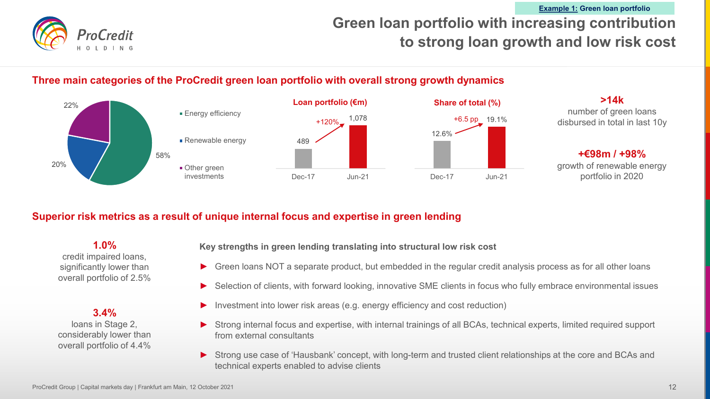# **Green loan portfolio with increasing contribution to strong loan growth and low risk cost Example 1: Green loan portfolio**

# **Three main categories of the ProCredit green loan portfolio with overall strong growth dynamics**



# **Superior risk metrics as a result of unique internal focus and expertise in green lending**

**1.0%** credit impaired loans, significantly lower than overall portfolio of 2.5%

**3.4%** loans in Stage 2, considerably lower than overall portfolio of 4.4% **Key strengths in green lending translating into structural low risk cost**

- Green loans NOT a separate product, but embedded in the regular credit analysis process as for all other loans
- Selection of clients, with forward looking, innovative SME clients in focus who fully embrace environmental issues
- Investment into lower risk areas (e.g. energy efficiency and cost reduction)
- Strong internal focus and expertise, with internal trainings of all BCAs, technical experts, limited required support from external consultants
- Strong use case of 'Hausbank' concept, with long-term and trusted client relationships at the core and BCAs and technical experts enabled to advise clients

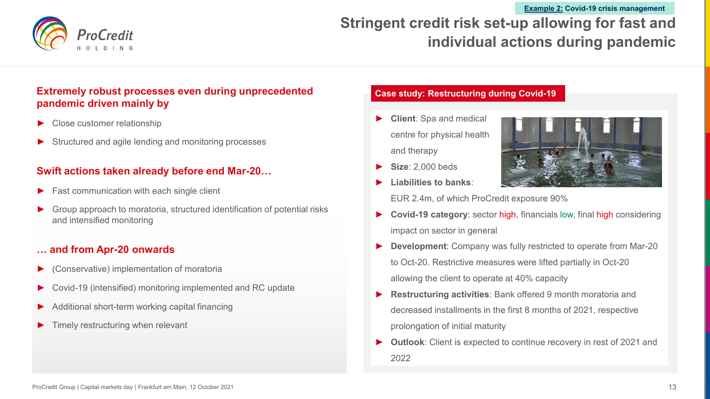

# **Stringent credit risk set-up allowing for fast and individual actions during pandemic Example 2: Covid-19 crisis management**

# **Extremely robust processes even during unprecedented pandemic driven mainly by**

- Close customer relationship
- Structured and agile lending and monitoring processes

# **Swift actions taken already before end Mar-20…**

- Fast communication with each single client
- Group approach to moratoria, structured identification of potential risks and intensified monitoring

## **… and from Apr-20 onwards**

- ► (Conservative) implementation of moratoria
- Covid-19 (intensified) monitoring implemented and RC update
- Additional short-term working capital financing
- Timely restructuring when relevant

### **Case study: Restructuring during Covid-19**

- ► **Client**: Spa and medical centre for physical health and therapy
- ► **Size**: 2,000 beds
- ► **Liabilities to banks**:



EUR 2.4m, of which ProCredit exposure 90%

- **Covid-19 category:** sector high, financials low, final high considering impact on sector in general
- **Development:** Company was fully restricted to operate from Mar-20 to Oct-20. Restrictive measures were lifted partially in Oct-20 allowing the client to operate at 40% capacity
- **Restructuring activities:** Bank offered 9 month moratoria and decreased installments in the first 8 months of 2021, respective prolongation of initial maturity
- **Outlook:** Client is expected to continue recovery in rest of 2021 and 2022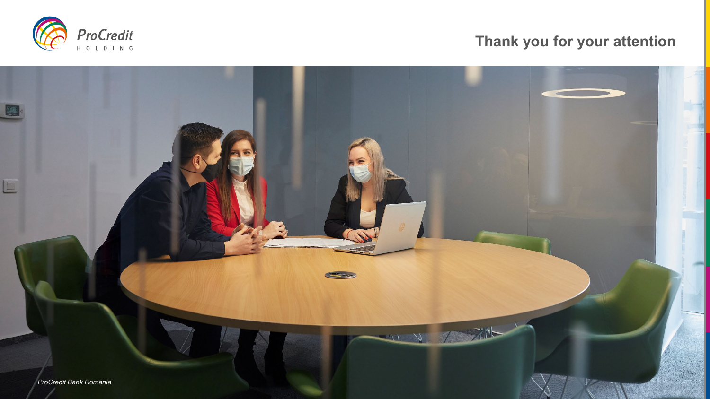

# **Thank you for your attention**

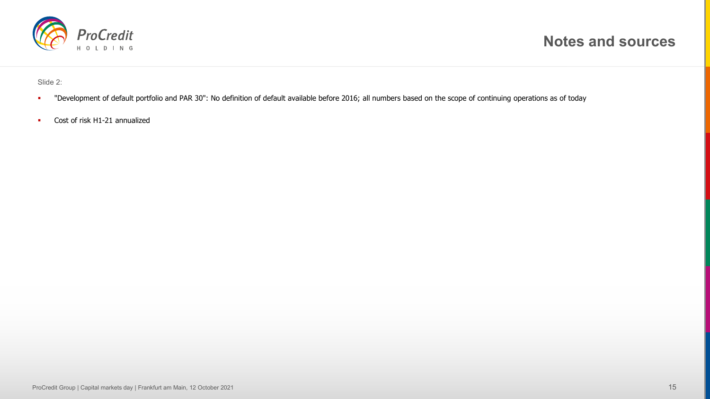

Slide 2:

- " "Development of default portfolio and PAR 30": No definition of default available before 2016; all numbers based on the scope of continuing operations as of today
- Cost of risk H1-21 annualized